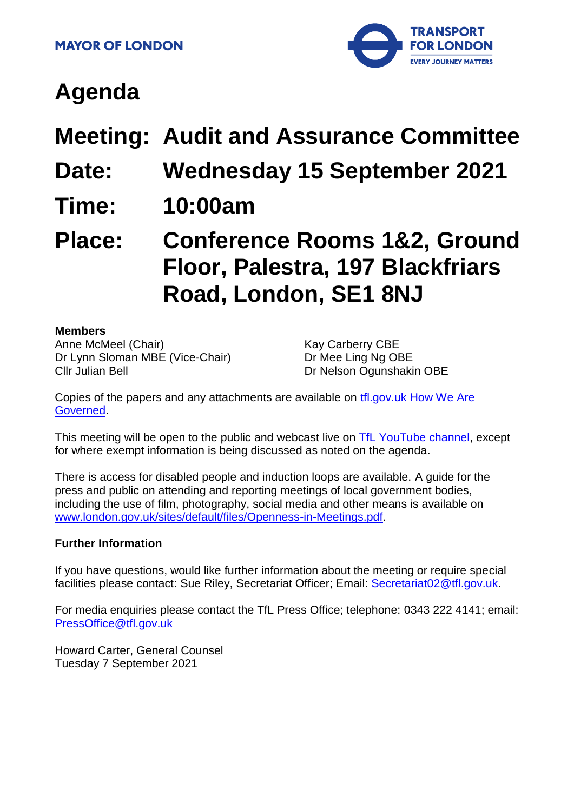

# **Agenda**

**Meeting: Audit and Assurance Committee**

- **Date: Wednesday 15 September 2021**
- **Time: 10:00am**

## **Place: Conference Rooms 1&2, Ground Floor, Palestra, 197 Blackfriars Road, London, SE1 8NJ**

#### **Members**

Anne McMeel (Chair) Dr Lynn Sloman MBE (Vice-Chair) Cllr Julian Bell

Kay Carberry CBE Dr Mee Ling Ng OBE Dr Nelson Ogunshakin OBE

Copies of the papers and any attachments are available on [tfl.gov.uk How We Are](http://www.tfl.gov.uk/corporate/about-tfl/how-we-work/how-we-are-governed)  [Governed.](http://www.tfl.gov.uk/corporate/about-tfl/how-we-work/how-we-are-governed)

This meeting will be open to the public and webcast live on [TfL YouTube channel,](https://www.youtube.com/watch?v=_2U9viPQ9WE&list=PLtnlusA0Zoggk4qvN68OcnD9k_7B8cY_d) except for where exempt information is being discussed as noted on the agenda.

There is access for disabled people and induction loops are available. A guide for the press and public on attending and reporting meetings of local government bodies, including the use of film, photography, social media and other means is available on [www.london.gov.uk/sites/default/files/Openness-in-Meetings.pdf.](http://www.london.gov.uk/sites/default/files/Openness-in-Meetings.pdf)

#### **Further Information**

If you have questions, would like further information about the meeting or require special facilities please contact: Sue Riley, Secretariat Officer; Email: [Secretariat02@tfl.gov.uk.](mailto:Secretariat02@tfl.gov.uk)

For media enquiries please contact the TfL Press Office; telephone: 0343 222 4141; email: [PressOffice@tfl.gov.uk](mailto:PressOffice@tfl.gov.uk)

Howard Carter, General Counsel Tuesday 7 September 2021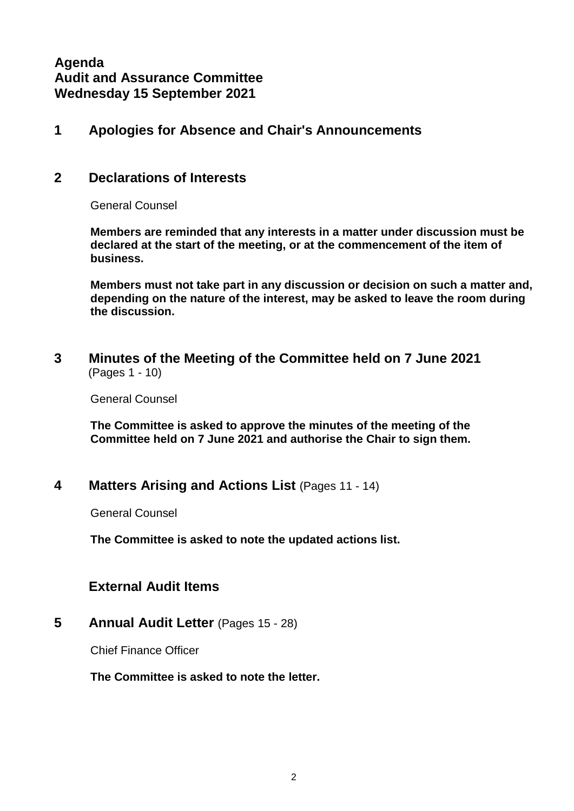## **Agenda Audit and Assurance Committee Wednesday 15 September 2021**

#### **1 Apologies for Absence and Chair's Announcements**

#### **2 Declarations of Interests**

General Counsel

**Members are reminded that any interests in a matter under discussion must be declared at the start of the meeting, or at the commencement of the item of business.** 

**Members must not take part in any discussion or decision on such a matter and, depending on the nature of the interest, may be asked to leave the room during the discussion.**

**3 Minutes of the Meeting of the Committee held on 7 June 2021** (Pages 1 - 10)

General Counsel

**The Committee is asked to approve the minutes of the meeting of the Committee held on 7 June 2021 and authorise the Chair to sign them.**

#### **4 Matters Arising and Actions List** (Pages 11 - 14)

General Counsel

**The Committee is asked to note the updated actions list.**

#### **External Audit Items**

**5 Annual Audit Letter** (Pages 15 - 28)

Chief Finance Officer

**The Committee is asked to note the letter.**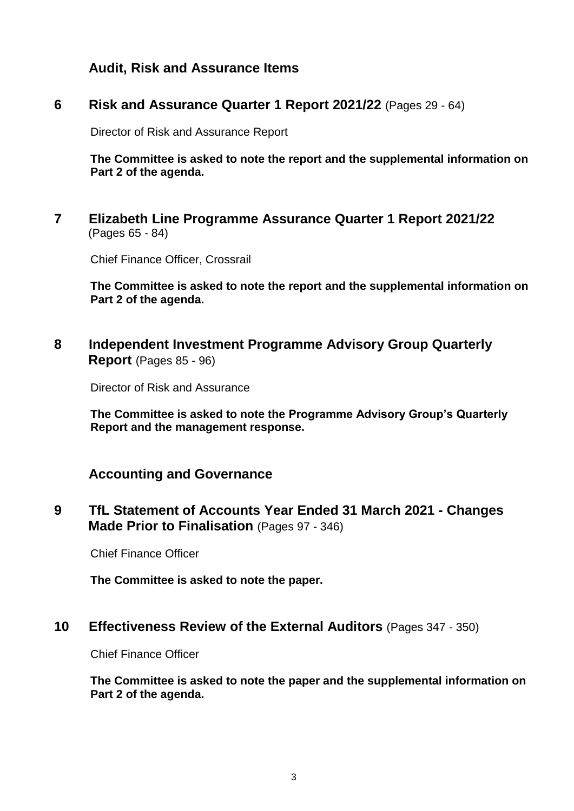**Audit, Risk and Assurance Items**

#### **6 Risk and Assurance Quarter 1 Report 2021/22** (Pages 29 - 64)

Director of Risk and Assurance Report

**The Committee is asked to note the report and the supplemental information on Part 2 of the agenda.**

**7 Elizabeth Line Programme Assurance Quarter 1 Report 2021/22** (Pages 65 - 84)

Chief Finance Officer, Crossrail

**The Committee is asked to note the report and the supplemental information on Part 2 of the agenda.**

**8 Independent Investment Programme Advisory Group Quarterly Report** (Pages 85 - 96)

Director of Risk and Assurance

**The Committee is asked to note the Programme Advisory Group's Quarterly Report and the management response.**

#### **Accounting and Governance**

**9 TfL Statement of Accounts Year Ended 31 March 2021 - Changes Made Prior to Finalisation** (Pages 97 - 346)

Chief Finance Officer

**The Committee is asked to note the paper.**

#### **10 Effectiveness Review of the External Auditors** (Pages 347 - 350)

Chief Finance Officer

**The Committee is asked to note the paper and the supplemental information on Part 2 of the agenda.**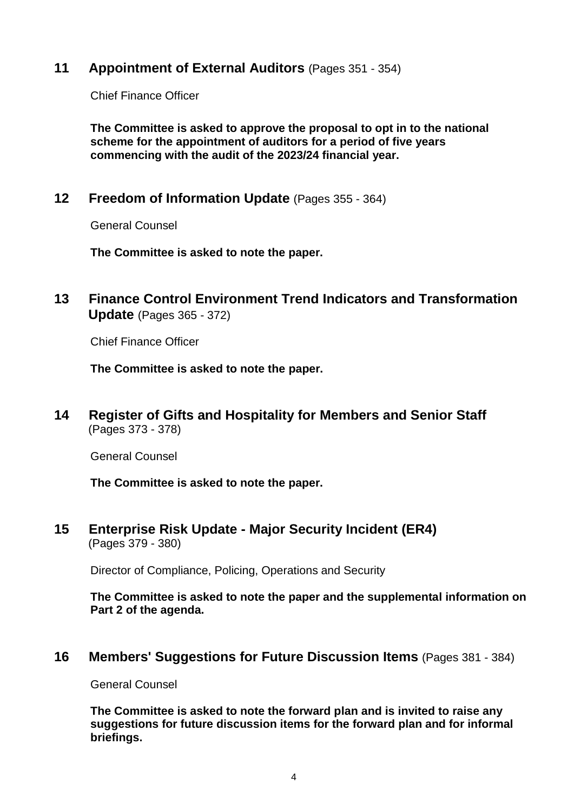#### **11 Appointment of External Auditors** (Pages 351 - 354)

Chief Finance Officer

**The Committee is asked to approve the proposal to opt in to the national scheme for the appointment of auditors for a period of five years commencing with the audit of the 2023/24 financial year.**

**12 Freedom of Information Update** (Pages 355 - 364)

General Counsel

**The Committee is asked to note the paper.**

**13 Finance Control Environment Trend Indicators and Transformation Update** (Pages 365 - 372)

Chief Finance Officer

**The Committee is asked to note the paper.**

**14 Register of Gifts and Hospitality for Members and Senior Staff** (Pages 373 - 378)

General Counsel

**The Committee is asked to note the paper.**

**15 Enterprise Risk Update - Major Security Incident (ER4)** (Pages 379 - 380)

Director of Compliance, Policing, Operations and Security

**The Committee is asked to note the paper and the supplemental information on Part 2 of the agenda.**

**16 Members' Suggestions for Future Discussion Items** (Pages 381 - 384)

General Counsel

**The Committee is asked to note the forward plan and is invited to raise any suggestions for future discussion items for the forward plan and for informal briefings.**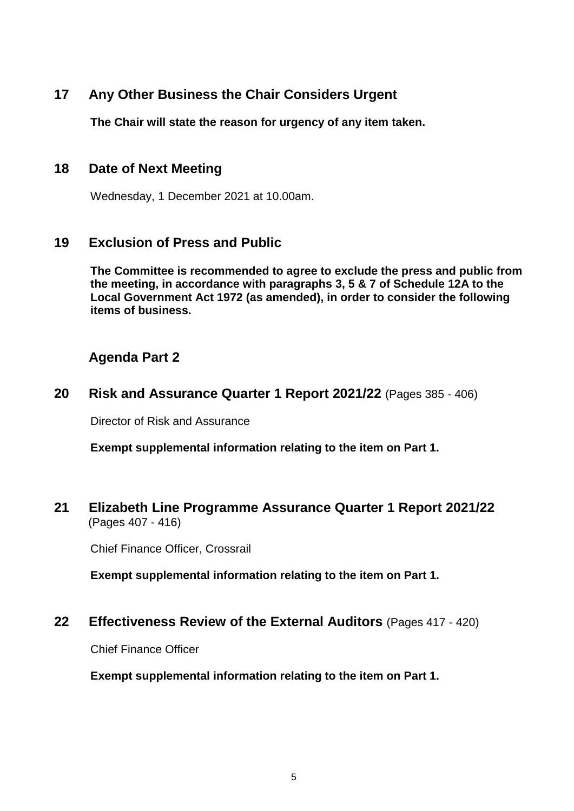## **17 Any Other Business the Chair Considers Urgent**

**The Chair will state the reason for urgency of any item taken.**

#### **18 Date of Next Meeting**

Wednesday, 1 December 2021 at 10.00am.

#### **19 Exclusion of Press and Public**

**The Committee is recommended to agree to exclude the press and public from the meeting, in accordance with paragraphs 3, 5 & 7 of Schedule 12A to the Local Government Act 1972 (as amended), in order to consider the following items of business.**

## **Agenda Part 2**

**20 Risk and Assurance Quarter 1 Report 2021/22** (Pages 385 - 406)

Director of Risk and Assurance

**Exempt supplemental information relating to the item on Part 1.**

#### **21 Elizabeth Line Programme Assurance Quarter 1 Report 2021/22** (Pages 407 - 416)

Chief Finance Officer, Crossrail

**Exempt supplemental information relating to the item on Part 1.**

#### **22 Effectiveness Review of the External Auditors** (Pages 417 - 420)

Chief Finance Officer

**Exempt supplemental information relating to the item on Part 1.**